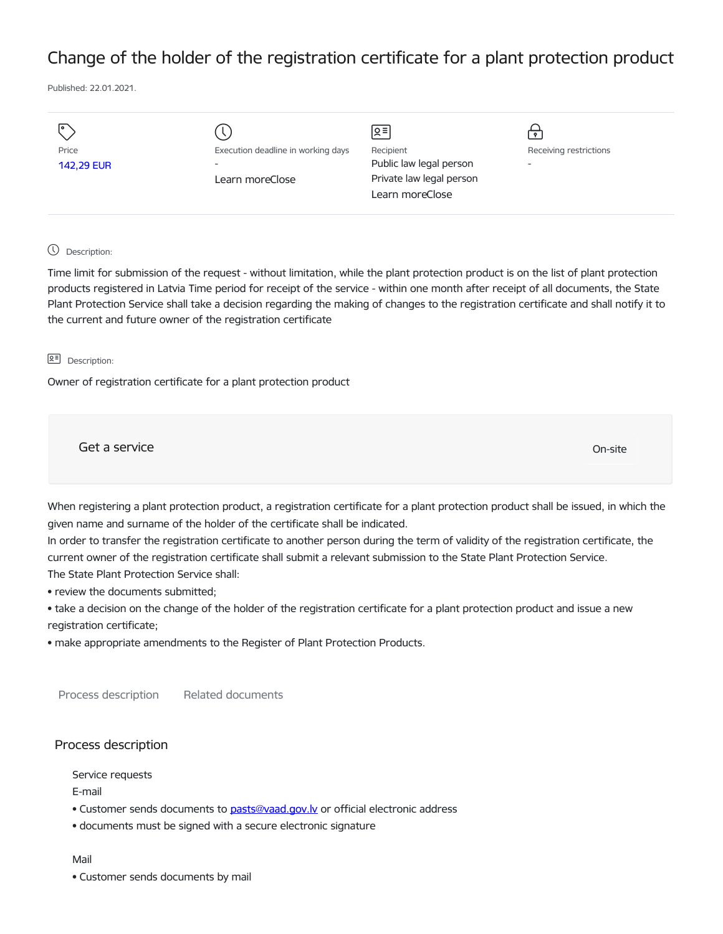# Change of the holder of the registration certificate for a plant protection product

Published: 22.01.2021.

|                   |                                    | $\sqrt{2}$               | $\mathbf{P}$             |
|-------------------|------------------------------------|--------------------------|--------------------------|
| Price             | Execution deadline in working days | Recipient                | Receiving restrictions   |
| <b>142,29 EUR</b> | -                                  | Public law legal person  | $\overline{\phantom{a}}$ |
|                   | Learn moreClose                    | Private law legal person |                          |
|                   |                                    | Learn moreClose          |                          |
|                   |                                    |                          |                          |

## Description:

Time limit for submission of the request - without limitation, while the plant protection product is on the list of plant protection products registered in Latvia Time period for receipt of the service - within one month after receipt of all documents, the State Plant Protection Service shall take a decision regarding the making of changes to the registration certificate and shall notify it to the current and future owner of the registration certificate

#### **Q**<sup>≡</sup> Description:

Owner of registration certificate for a plant protection product

Get a service On-site

When registering a plant protection product, a registration certificate for a plant protection product shall be issued, in which the given name and surname of the holder of the certificate shall be indicated.

In order to transfer the registration certificate to another person during the term of validity of the registration certificate, the current owner of the registration certificate shall submit a relevant submission to the State Plant Protection Service. The State Plant Protection Service shall:

• review the documents submitted;

• take a decision on the change of the holder of the registration certificate for a plant protection product and issue a new registration certificate;

• make appropriate amendments to the Register of Plant Protection Products.

Process description Related documents

### Process description

Service requests

E-mail

- Customer sends documents to pasts@vaad.gov.ly or official electronic address
- documents must be signed with a secure electronic signature

#### Mail

• Customer sends documents by mail